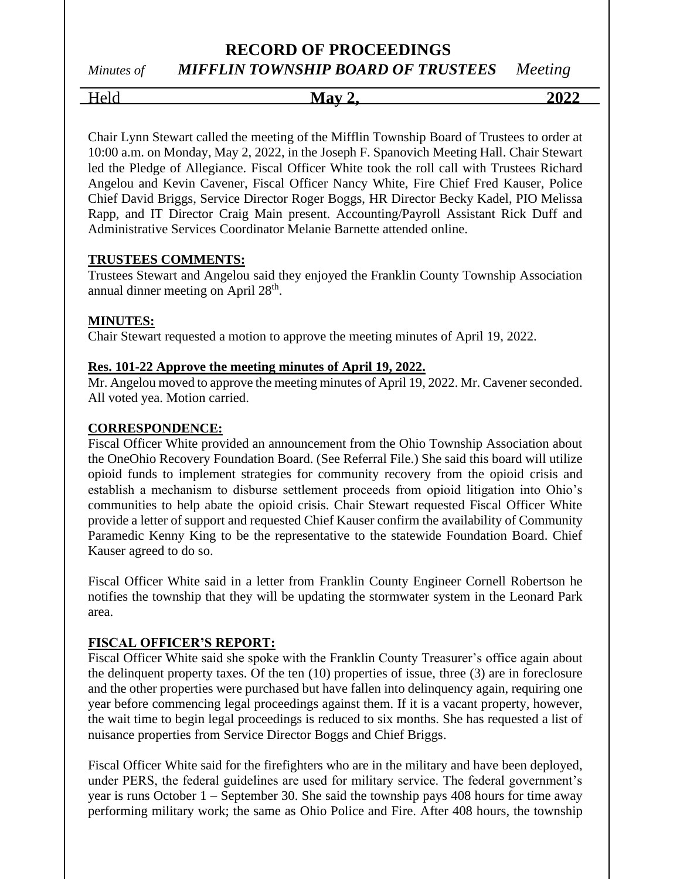*Minutes of MIFFLIN TOWNSHIP BOARD OF TRUSTEES Meeting*

Held **May 2, 2022**

Chair Lynn Stewart called the meeting of the Mifflin Township Board of Trustees to order at 10:00 a.m. on Monday, May 2, 2022, in the Joseph F. Spanovich Meeting Hall. Chair Stewart led the Pledge of Allegiance. Fiscal Officer White took the roll call with Trustees Richard Angelou and Kevin Cavener, Fiscal Officer Nancy White, Fire Chief Fred Kauser, Police Chief David Briggs, Service Director Roger Boggs, HR Director Becky Kadel, PIO Melissa Rapp, and IT Director Craig Main present. Accounting/Payroll Assistant Rick Duff and Administrative Services Coordinator Melanie Barnette attended online.

## **TRUSTEES COMMENTS:**

Trustees Stewart and Angelou said they enjoyed the Franklin County Township Association annual dinner meeting on April  $28<sup>th</sup>$ .

## **MINUTES:**

Chair Stewart requested a motion to approve the meeting minutes of April 19, 2022.

## **Res. 101-22 Approve the meeting minutes of April 19, 2022.**

Mr. Angelou moved to approve the meeting minutes of April 19, 2022. Mr. Cavener seconded. All voted yea. Motion carried.

#### **CORRESPONDENCE:**

Fiscal Officer White provided an announcement from the Ohio Township Association about the OneOhio Recovery Foundation Board. (See Referral File.) She said this board will utilize opioid funds to implement strategies for community recovery from the opioid crisis and establish a mechanism to disburse settlement proceeds from opioid litigation into Ohio's communities to help abate the opioid crisis. Chair Stewart requested Fiscal Officer White provide a letter of support and requested Chief Kauser confirm the availability of Community Paramedic Kenny King to be the representative to the statewide Foundation Board. Chief Kauser agreed to do so.

Fiscal Officer White said in a letter from Franklin County Engineer Cornell Robertson he notifies the township that they will be updating the stormwater system in the Leonard Park area.

## **FISCAL OFFICER'S REPORT:**

Fiscal Officer White said she spoke with the Franklin County Treasurer's office again about the delinquent property taxes. Of the ten (10) properties of issue, three (3) are in foreclosure and the other properties were purchased but have fallen into delinquency again, requiring one year before commencing legal proceedings against them. If it is a vacant property, however, the wait time to begin legal proceedings is reduced to six months. She has requested a list of nuisance properties from Service Director Boggs and Chief Briggs.

Fiscal Officer White said for the firefighters who are in the military and have been deployed, under PERS, the federal guidelines are used for military service. The federal government's year is runs October 1 – September 30. She said the township pays 408 hours for time away performing military work; the same as Ohio Police and Fire. After 408 hours, the township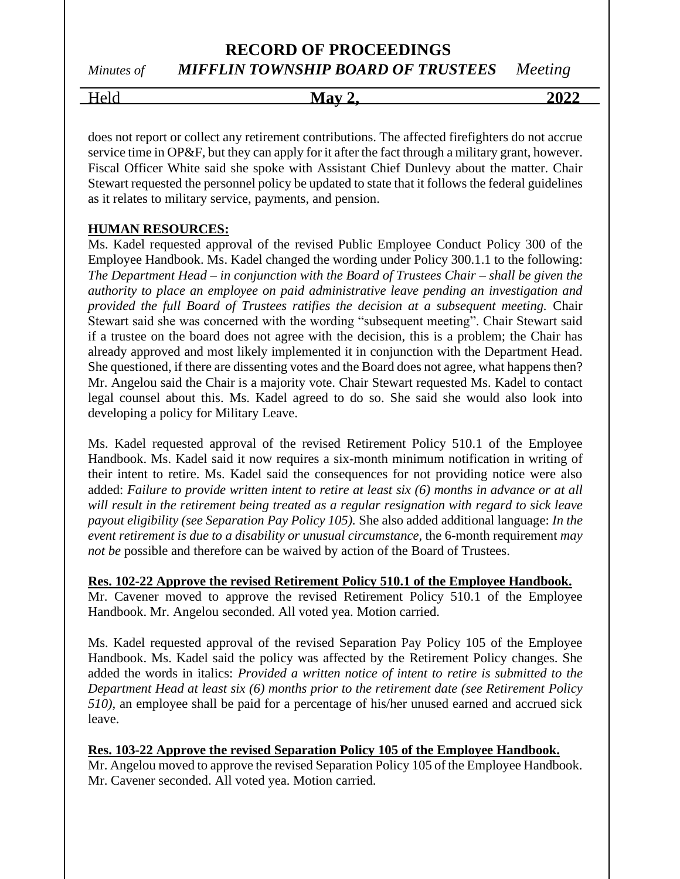*Minutes of MIFFLIN TOWNSHIP BOARD OF TRUSTEES Meeting*

Held **May 2, 2022**

does not report or collect any retirement contributions. The affected firefighters do not accrue service time in OP&F, but they can apply for it after the fact through a military grant, however. Fiscal Officer White said she spoke with Assistant Chief Dunlevy about the matter. Chair Stewart requested the personnel policy be updated to state that it follows the federal guidelines as it relates to military service, payments, and pension.

## **HUMAN RESOURCES:**

Ms. Kadel requested approval of the revised Public Employee Conduct Policy 300 of the Employee Handbook. Ms. Kadel changed the wording under Policy 300.1.1 to the following: *The Department Head – in conjunction with the Board of Trustees Chair – shall be given the authority to place an employee on paid administrative leave pending an investigation and provided the full Board of Trustees ratifies the decision at a subsequent meeting.* Chair Stewart said she was concerned with the wording "subsequent meeting". Chair Stewart said if a trustee on the board does not agree with the decision, this is a problem; the Chair has already approved and most likely implemented it in conjunction with the Department Head. She questioned, if there are dissenting votes and the Board does not agree, what happens then? Mr. Angelou said the Chair is a majority vote. Chair Stewart requested Ms. Kadel to contact legal counsel about this. Ms. Kadel agreed to do so. She said she would also look into developing a policy for Military Leave.

Ms. Kadel requested approval of the revised Retirement Policy 510.1 of the Employee Handbook. Ms. Kadel said it now requires a six-month minimum notification in writing of their intent to retire. Ms. Kadel said the consequences for not providing notice were also added: *Failure to provide written intent to retire at least six (6) months in advance or at all will result in the retirement being treated as a regular resignation with regard to sick leave payout eligibility (see Separation Pay Policy 105).* She also added additional language: *In the event retirement is due to a disability or unusual circumstance,* the 6-month requirement *may not be* possible and therefore can be waived by action of the Board of Trustees.

## **Res. 102-22 Approve the revised Retirement Policy 510.1 of the Employee Handbook.**

Mr. Cavener moved to approve the revised Retirement Policy 510.1 of the Employee Handbook. Mr. Angelou seconded. All voted yea. Motion carried.

Ms. Kadel requested approval of the revised Separation Pay Policy 105 of the Employee Handbook. Ms. Kadel said the policy was affected by the Retirement Policy changes. She added the words in italics: *Provided a written notice of intent to retire is submitted to the Department Head at least six (6) months prior to the retirement date (see Retirement Policy 510),* an employee shall be paid for a percentage of his/her unused earned and accrued sick leave.

## **Res. 103-22 Approve the revised Separation Policy 105 of the Employee Handbook.**

Mr. Angelou moved to approve the revised Separation Policy 105 of the Employee Handbook. Mr. Cavener seconded. All voted yea. Motion carried.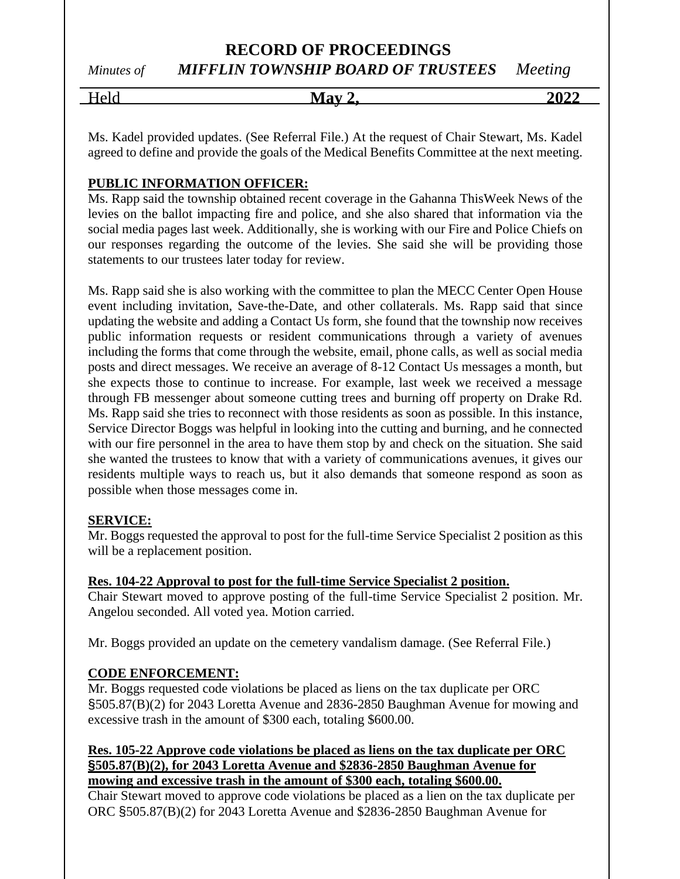*Minutes of MIFFLIN TOWNSHIP BOARD OF TRUSTEES Meeting*

| <b>TI</b><br>. | - -<br>- 7<br>$\sim -$<br>.<br>---<br>. . | ,,, |
|----------------|-------------------------------------------|-----|
|                |                                           |     |

Ms. Kadel provided updates. (See Referral File.) At the request of Chair Stewart, Ms. Kadel agreed to define and provide the goals of the Medical Benefits Committee at the next meeting.

## **PUBLIC INFORMATION OFFICER:**

Ms. Rapp said the township obtained recent coverage in the Gahanna ThisWeek News of the levies on the ballot impacting fire and police, and she also shared that information via the social media pages last week. Additionally, she is working with our Fire and Police Chiefs on our responses regarding the outcome of the levies. She said she will be providing those statements to our trustees later today for review.

Ms. Rapp said she is also working with the committee to plan the MECC Center Open House event including invitation, Save-the-Date, and other collaterals. Ms. Rapp said that since updating the website and adding a Contact Us form, she found that the township now receives public information requests or resident communications through a variety of avenues including the forms that come through the website, email, phone calls, as well as social media posts and direct messages. We receive an average of 8-12 Contact Us messages a month, but she expects those to continue to increase. For example, last week we received a message through FB messenger about someone cutting trees and burning off property on Drake Rd. Ms. Rapp said she tries to reconnect with those residents as soon as possible. In this instance, Service Director Boggs was helpful in looking into the cutting and burning, and he connected with our fire personnel in the area to have them stop by and check on the situation. She said she wanted the trustees to know that with a variety of communications avenues, it gives our residents multiple ways to reach us, but it also demands that someone respond as soon as possible when those messages come in.

## **SERVICE:**

Mr. Boggs requested the approval to post for the full-time Service Specialist 2 position as this will be a replacement position.

## **Res. 104-22 Approval to post for the full-time Service Specialist 2 position.**

Chair Stewart moved to approve posting of the full-time Service Specialist 2 position. Mr. Angelou seconded. All voted yea. Motion carried.

Mr. Boggs provided an update on the cemetery vandalism damage. (See Referral File.)

## **CODE ENFORCEMENT:**

Mr. Boggs requested code violations be placed as liens on the tax duplicate per ORC §505.87(B)(2) for 2043 Loretta Avenue and 2836-2850 Baughman Avenue for mowing and excessive trash in the amount of \$300 each, totaling \$600.00.

## **Res. 105-22 Approve code violations be placed as liens on the tax duplicate per ORC §505.87(B)(2), for 2043 Loretta Avenue and \$2836-2850 Baughman Avenue for mowing and excessive trash in the amount of \$300 each, totaling \$600.00.**

Chair Stewart moved to approve code violations be placed as a lien on the tax duplicate per ORC §505.87(B)(2) for 2043 Loretta Avenue and \$2836-2850 Baughman Avenue for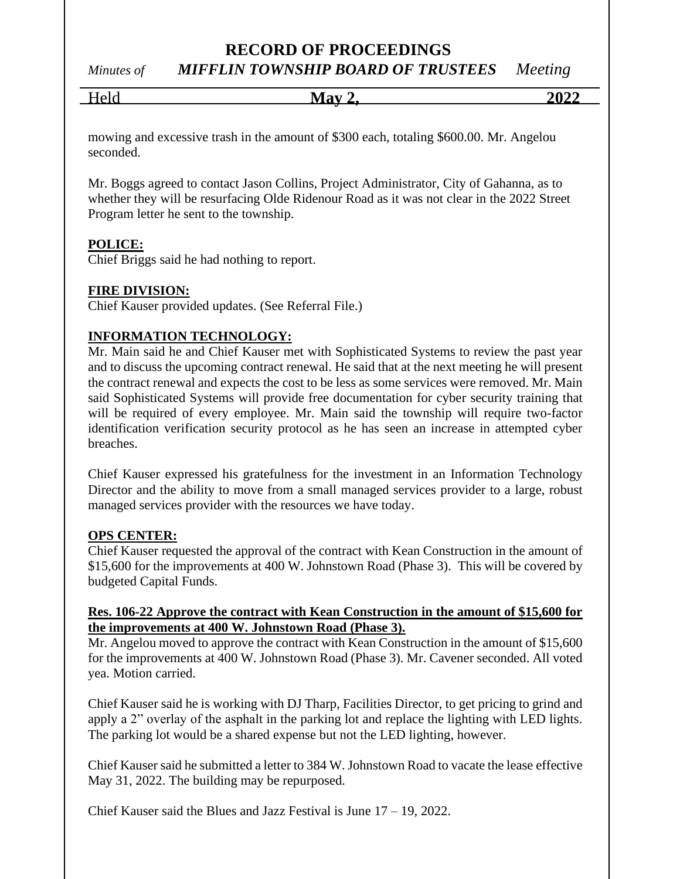*Minutes of MIFFLIN TOWNSHIP BOARD OF TRUSTEES Meeting*

| T<br>╼ | - -<br>- 75<br>$\sim -$ | $\mathbf{A}$<br>20 |
|--------|-------------------------|--------------------|
|        |                         |                    |

mowing and excessive trash in the amount of \$300 each, totaling \$600.00. Mr. Angelou seconded.

Mr. Boggs agreed to contact Jason Collins, Project Administrator, City of Gahanna, as to whether they will be resurfacing Olde Ridenour Road as it was not clear in the 2022 Street Program letter he sent to the township.

## **POLICE:**

Chief Briggs said he had nothing to report.

## **FIRE DIVISION:**

Chief Kauser provided updates. (See Referral File.)

## **INFORMATION TECHNOLOGY:**

Mr. Main said he and Chief Kauser met with Sophisticated Systems to review the past year and to discuss the upcoming contract renewal. He said that at the next meeting he will present the contract renewal and expects the cost to be less as some services were removed. Mr. Main said Sophisticated Systems will provide free documentation for cyber security training that will be required of every employee. Mr. Main said the township will require two-factor identification verification security protocol as he has seen an increase in attempted cyber breaches.

Chief Kauser expressed his gratefulness for the investment in an Information Technology Director and the ability to move from a small managed services provider to a large, robust managed services provider with the resources we have today.

## **OPS CENTER:**

Chief Kauser requested the approval of the contract with Kean Construction in the amount of \$15,600 for the improvements at 400 W. Johnstown Road (Phase 3). This will be covered by budgeted Capital Funds.

## **Res. 106-22 Approve the contract with Kean Construction in the amount of \$15,600 for the improvements at 400 W. Johnstown Road (Phase 3).**

Mr. Angelou moved to approve the contract with Kean Construction in the amount of \$15,600 for the improvements at 400 W. Johnstown Road (Phase 3). Mr. Cavener seconded. All voted yea. Motion carried.

Chief Kauser said he is working with DJ Tharp, Facilities Director, to get pricing to grind and apply a 2" overlay of the asphalt in the parking lot and replace the lighting with LED lights. The parking lot would be a shared expense but not the LED lighting, however.

Chief Kauser said he submitted a letter to 384 W. Johnstown Road to vacate the lease effective May 31, 2022. The building may be repurposed.

Chief Kauser said the Blues and Jazz Festival is June 17 – 19, 2022.